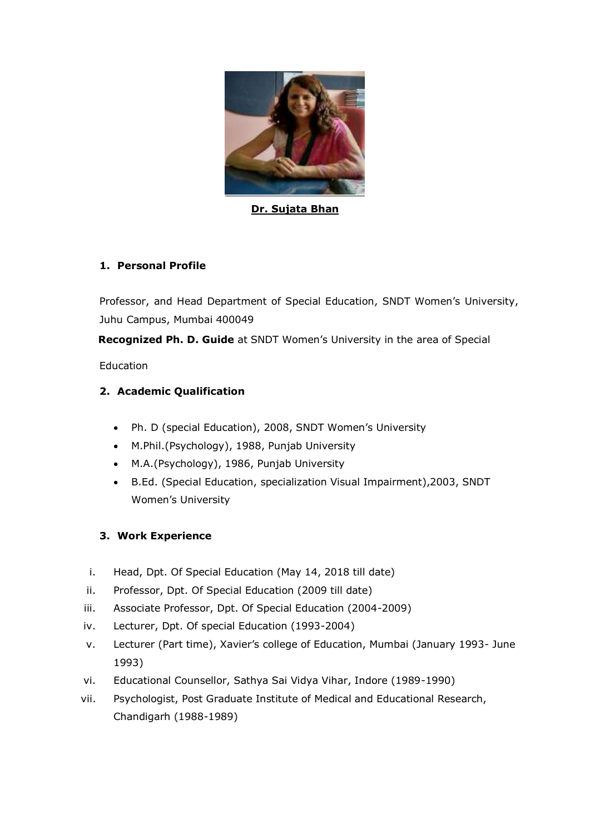

**Dr. Sujata Bhan**

### **1. Personal Profile**

Professor, and Head Department of Special Education, SNDT Women's University, Juhu Campus, Mumbai 400049

 **Recognized Ph. D. Guide** at SNDT Women's University in the area of Special

Education

### **2. Academic Qualification**

- Ph. D (special Education), 2008, SNDT Women's University
- M.Phil.(Psychology), 1988, Punjab University
- M.A.(Psychology), 1986, Punjab University
- B.Ed. (Special Education, specialization Visual Impairment),2003, SNDT Women's University

### **3. Work Experience**

- i. Head, Dpt. Of Special Education (May 14, 2018 till date)
- ii. Professor, Dpt. Of Special Education (2009 till date)
- iii. Associate Professor, Dpt. Of Special Education (2004-2009)
- iv. Lecturer, Dpt. Of special Education (1993-2004)
- v. Lecturer (Part time), Xavier's college of Education, Mumbai (January 1993- June 1993)
- vi. Educational Counsellor, Sathya Sai Vidya Vihar, Indore (1989-1990)
- vii. Psychologist, Post Graduate Institute of Medical and Educational Research, Chandigarh (1988-1989)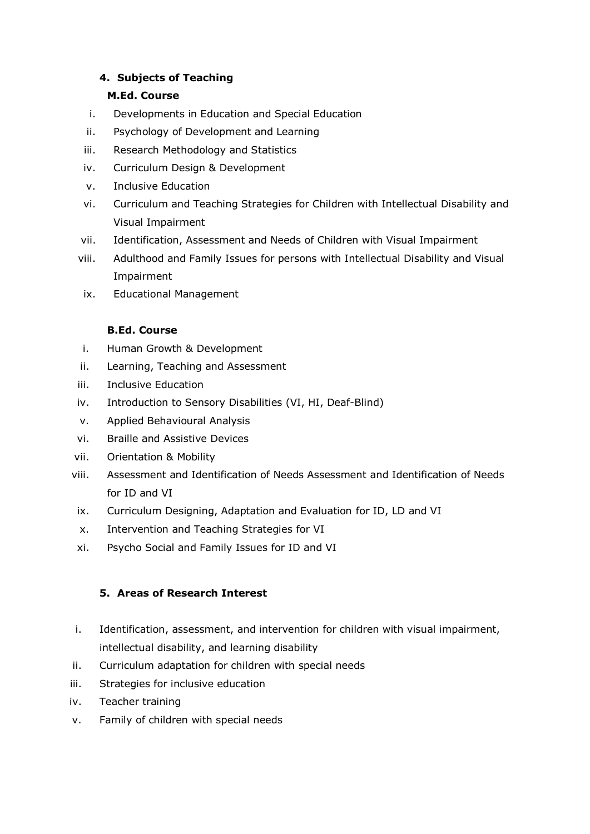### **4. Subjects of Teaching**

### **M.Ed. Course**

- i. Developments in Education and Special Education
- ii. Psychology of Development and Learning
- iii. Research Methodology and Statistics
- iv. Curriculum Design & Development
- v. Inclusive Education
- vi. Curriculum and Teaching Strategies for Children with Intellectual Disability and Visual Impairment
- vii. Identification, Assessment and Needs of Children with Visual Impairment
- viii. Adulthood and Family Issues for persons with Intellectual Disability and Visual Impairment
- ix. Educational Management

### **B.Ed. Course**

- i. Human Growth & Development
- ii. Learning, Teaching and Assessment
- iii. Inclusive Education
- iv. Introduction to Sensory Disabilities (VI, HI, Deaf-Blind)
- v. Applied Behavioural Analysis
- vi. Braille and Assistive Devices
- vii. Orientation & Mobility
- viii. Assessment and Identification of Needs Assessment and Identification of Needs for ID and VI
- ix. Curriculum Designing, Adaptation and Evaluation for ID, LD and VI
- x. Intervention and Teaching Strategies for VI
- xi. Psycho Social and Family Issues for ID and VI

# **5. Areas of Research Interest**

- i. Identification, assessment, and intervention for children with visual impairment, intellectual disability, and learning disability
- ii. Curriculum adaptation for children with special needs
- iii. Strategies for inclusive education
- iv. Teacher training
- v. Family of children with special needs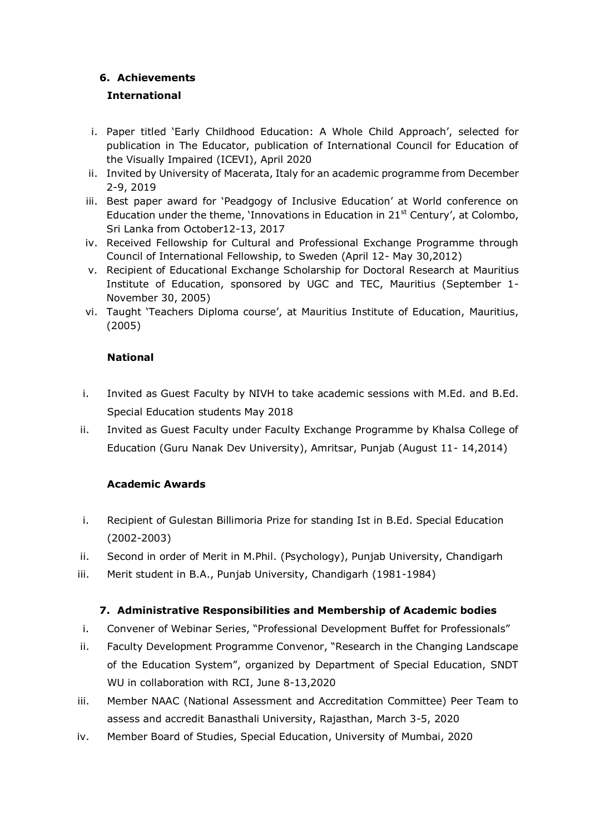### **6. Achievements**

### **International**

- i. Paper titled 'Early Childhood Education: A Whole Child Approach', selected for publication in The Educator, publication of International Council for Education of the Visually Impaired (ICEVI), April 2020
- ii. Invited by University of Macerata, Italy for an academic programme from December 2-9, 2019
- iii. Best paper award for 'Peadgogy of Inclusive Education' at World conference on Education under the theme, 'Innovations in Education in  $21<sup>st</sup>$  Century', at Colombo, Sri Lanka from October12-13, 2017
- iv. Received Fellowship for Cultural and Professional Exchange Programme through Council of International Fellowship, to Sweden (April 12- May 30,2012)
- v. Recipient of Educational Exchange Scholarship for Doctoral Research at Mauritius Institute of Education, sponsored by UGC and TEC, Mauritius (September 1- November 30, 2005)
- vi. Taught 'Teachers Diploma course', at Mauritius Institute of Education, Mauritius, (2005)

### **National**

- i. Invited as Guest Faculty by NIVH to take academic sessions with M.Ed. and B.Ed. Special Education students May 2018
- ii. Invited as Guest Faculty under Faculty Exchange Programme by Khalsa College of Education (Guru Nanak Dev University), Amritsar, Punjab (August 11- 14,2014)

# **Academic Awards**

- i. Recipient of Gulestan Billimoria Prize for standing Ist in B.Ed. Special Education (2002-2003)
- ii. Second in order of Merit in M.Phil. (Psychology), Punjab University, Chandigarh
- iii. Merit student in B.A., Punjab University, Chandigarh (1981-1984)

### **7. Administrative Responsibilities and Membership of Academic bodies**

- i. Convener of Webinar Series, "Professional Development Buffet for Professionals"
- ii. Faculty Development Programme Convenor, "Research in the Changing Landscape of the Education System", organized by Department of Special Education, SNDT WU in collaboration with RCI, June 8-13,2020
- iii. Member NAAC (National Assessment and Accreditation Committee) Peer Team to assess and accredit Banasthali University, Rajasthan, March 3-5, 2020
- iv. Member Board of Studies, Special Education, University of Mumbai, 2020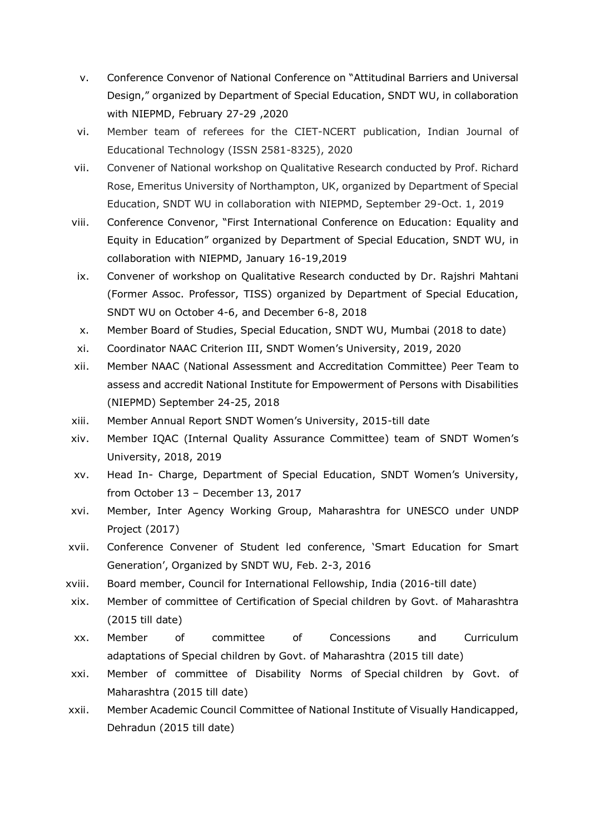- v. Conference Convenor of National Conference on "Attitudinal Barriers and Universal Design," organized by Department of Special Education, SNDT WU, in collaboration with NIEPMD, February 27-29 ,2020
- vi. Member team of referees for the CIET-NCERT publication, Indian Journal of Educational Technology (ISSN 2581-8325), 2020
- vii. Convener of National workshop on Qualitative Research conducted by Prof. Richard Rose, Emeritus University of Northampton, UK, organized by Department of Special Education, SNDT WU in collaboration with NIEPMD, September 29-Oct. 1, 2019
- viii. Conference Convenor, "First International Conference on Education: Equality and Equity in Education" organized by Department of Special Education, SNDT WU, in collaboration with NIEPMD, January 16-19,2019
- ix. Convener of workshop on Qualitative Research conducted by Dr. Rajshri Mahtani (Former Assoc. Professor, TISS) organized by Department of Special Education, SNDT WU on October 4-6, and December 6-8, 2018
- x. Member Board of Studies, Special Education, SNDT WU, Mumbai (2018 to date)
- xi. Coordinator NAAC Criterion III, SNDT Women's University, 2019, 2020
- xii. Member NAAC (National Assessment and Accreditation Committee) Peer Team to assess and accredit National Institute for Empowerment of Persons with Disabilities (NIEPMD) September 24-25, 2018
- xiii. Member Annual Report SNDT Women's University, 2015-till date
- xiv. Member IQAC (Internal Quality Assurance Committee) team of SNDT Women's University, 2018, 2019
- xv. Head In- Charge, Department of Special Education, SNDT Women's University, from October 13 – December 13, 2017
- xvi. Member, Inter Agency Working Group, Maharashtra for UNESCO under UNDP Project (2017)
- xvii. Conference Convener of Student led conference, 'Smart Education for Smart Generation', Organized by SNDT WU, Feb. 2-3, 2016
- xviii. Board member, Council for International Fellowship, India (2016-till date)
- xix. Member of committee of Certification of Special children by Govt. of Maharashtra (2015 till date)
- xx. Member of committee of Concessions and Curriculum adaptations of Special children by Govt. of Maharashtra (2015 till date)
- xxi. Member of committee of Disability Norms of Special children by Govt. of Maharashtra (2015 till date)
- xxii. Member Academic Council Committee of National Institute of Visually Handicapped, Dehradun (2015 till date)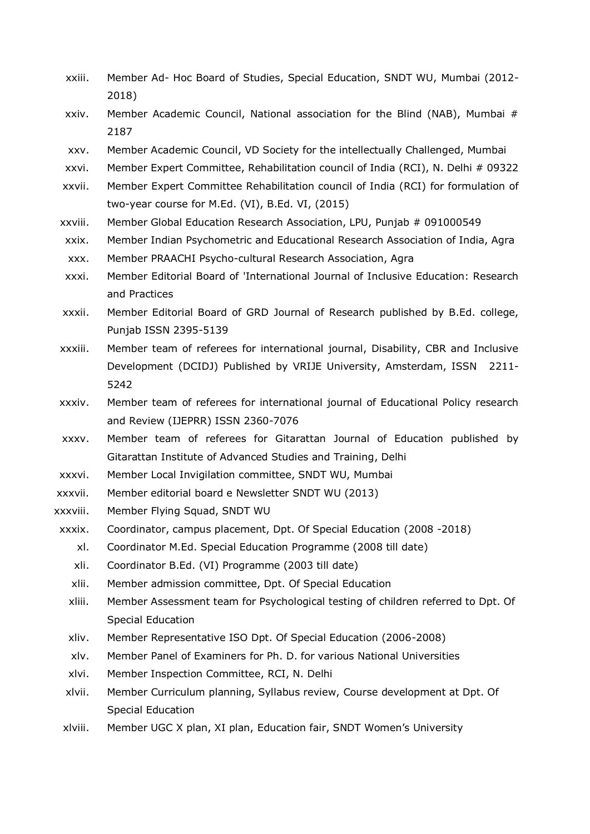- xxiii. Member Ad- Hoc Board of Studies, Special Education, SNDT WU, Mumbai (2012- 2018)
- xxiv. Member Academic Council, National association for the Blind (NAB), Mumbai # 2187
- xxv. Member Academic Council, VD Society for the intellectually Challenged, Mumbai
- xxvi. Member Expert Committee, Rehabilitation council of India (RCI), N. Delhi # 09322
- xxvii. Member Expert Committee Rehabilitation council of India (RCI) for formulation of two-year course for M.Ed. (VI), B.Ed. VI, (2015)
- xxviii. Member Global Education Research Association, LPU, Punjab # 091000549
- xxix. Member Indian Psychometric and Educational Research Association of India, Agra
- xxx. Member PRAACHI Psycho-cultural Research Association, Agra
- xxxi. Member Editorial Board of 'International Journal of Inclusive Education: Research and Practices
- xxxii. Member Editorial Board of GRD Journal of Research published by B.Ed. college, Punjab ISSN 2395-5139
- xxxiii. Member team of referees for international journal, Disability, CBR and Inclusive Development (DCIDJ) Published by VRIJE University, Amsterdam, ISSN 2211- 5242
- xxxiv. Member team of referees for international journal of Educational Policy research and Review (IJEPRR) ISSN 2360-7076
- xxxv. Member team of referees for Gitarattan Journal of Education published by Gitarattan Institute of Advanced Studies and Training, Delhi
- xxxvi. Member Local Invigilation committee, SNDT WU, Mumbai
- xxxvii. Member editorial board e Newsletter SNDT WU (2013)
- xxxviii. Member Flying Squad, SNDT WU
- xxxix. Coordinator, campus placement, Dpt. Of Special Education (2008 -2018)
	- xl. Coordinator M.Ed. Special Education Programme (2008 till date)
		- xli. Coordinator B.Ed. (VI) Programme (2003 till date)
	- xlii. Member admission committee, Dpt. Of Special Education
	- xliii. Member Assessment team for Psychological testing of children referred to Dpt. Of Special Education
	- xliv. Member Representative ISO Dpt. Of Special Education (2006-2008)
	- xlv. Member Panel of Examiners for Ph. D. for various National Universities
	- xlvi. Member Inspection Committee, RCI, N. Delhi
	- xlvii. Member Curriculum planning, Syllabus review, Course development at Dpt. Of Special Education
- xlviii. Member UGC X plan, XI plan, Education fair, SNDT Women's University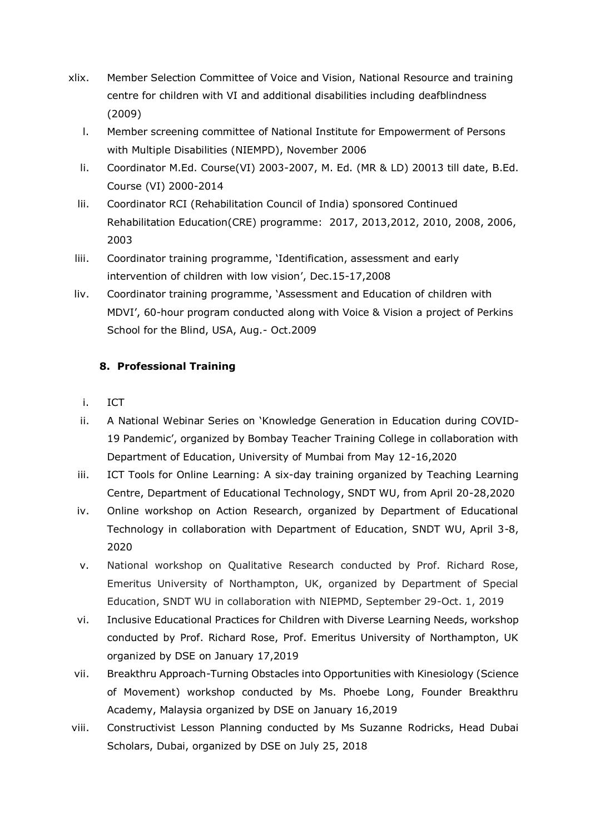- xlix. Member Selection Committee of Voice and Vision, National Resource and training centre for children with VI and additional disabilities including deafblindness (2009)
	- l. Member screening committee of National Institute for Empowerment of Persons with Multiple Disabilities (NIEMPD), November 2006
	- li. Coordinator M.Ed. Course(VI) 2003-2007, M. Ed. (MR & LD) 20013 till date, B.Ed. Course (VI) 2000-2014
	- lii. Coordinator RCI (Rehabilitation Council of India) sponsored Continued Rehabilitation Education(CRE) programme: 2017, 2013,2012, 2010, 2008, 2006, 2003
	- liii. Coordinator training programme, 'Identification, assessment and early intervention of children with low vision', Dec.15-17,2008
- liv. Coordinator training programme, 'Assessment and Education of children with MDVI', 60-hour program conducted along with Voice & Vision a project of Perkins School for the Blind, USA, Aug.- Oct.2009

### **8. Professional Training**

- i. ICT
- ii. A National Webinar Series on 'Knowledge Generation in Education during COVID-19 Pandemic', organized by Bombay Teacher Training College in collaboration with Department of Education, University of Mumbai from May 12-16,2020
- iii. ICT Tools for Online Learning: A six-day training organized by Teaching Learning Centre, Department of Educational Technology, SNDT WU, from April 20-28,2020
- iv. Online workshop on Action Research, organized by Department of Educational Technology in collaboration with Department of Education, SNDT WU, April 3-8, 2020
- v. National workshop on Qualitative Research conducted by Prof. Richard Rose, Emeritus University of Northampton, UK, organized by Department of Special Education, SNDT WU in collaboration with NIEPMD, September 29-Oct. 1, 2019
- vi. Inclusive Educational Practices for Children with Diverse Learning Needs, workshop conducted by Prof. Richard Rose, Prof. Emeritus University of Northampton, UK organized by DSE on January 17,2019
- vii. Breakthru Approach-Turning Obstacles into Opportunities with Kinesiology (Science of Movement) workshop conducted by Ms. Phoebe Long, Founder Breakthru Academy, Malaysia organized by DSE on January 16,2019
- viii. Constructivist Lesson Planning conducted by Ms Suzanne Rodricks, Head Dubai Scholars, Dubai, organized by DSE on July 25, 2018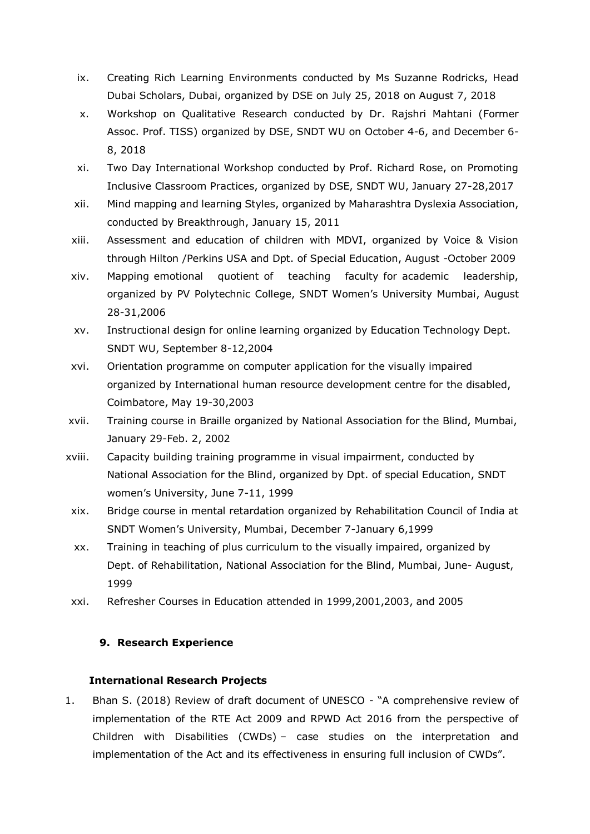- ix. Creating Rich Learning Environments conducted by Ms Suzanne Rodricks, Head Dubai Scholars, Dubai, organized by DSE on July 25, 2018 on August 7, 2018
- x. Workshop on Qualitative Research conducted by Dr. Rajshri Mahtani (Former Assoc. Prof. TISS) organized by DSE, SNDT WU on October 4-6, and December 6- 8, 2018
- xi. Two Day International Workshop conducted by Prof. Richard Rose, on Promoting Inclusive Classroom Practices, organized by DSE, SNDT WU, January 27-28,2017
- xii. Mind mapping and learning Styles, organized by Maharashtra Dyslexia Association, conducted by Breakthrough, January 15, 2011
- xiii. Assessment and education of children with MDVI, organized by Voice & Vision through Hilton /Perkins USA and Dpt. of Special Education, August -October 2009
- xiv. Mapping emotional quotient of teaching faculty for academic leadership, organized by PV Polytechnic College, SNDT Women's University Mumbai, August 28-31,2006
- xv. Instructional design for online learning organized by Education Technology Dept. SNDT WU, September 8-12,2004
- xvi. Orientation programme on computer application for the visually impaired organized by International human resource development centre for the disabled, Coimbatore, May 19-30,2003
- xvii. Training course in Braille organized by National Association for the Blind, Mumbai, January 29-Feb. 2, 2002
- xviii. Capacity building training programme in visual impairment, conducted by National Association for the Blind, organized by Dpt. of special Education, SNDT women's University, June 7-11, 1999
	- xix. Bridge course in mental retardation organized by Rehabilitation Council of India at SNDT Women's University, Mumbai, December 7-January 6,1999
	- xx. Training in teaching of plus curriculum to the visually impaired, organized by Dept. of Rehabilitation, National Association for the Blind, Mumbai, June- August, 1999
	- xxi. Refresher Courses in Education attended in 1999,2001,2003, and 2005

### **9. Research Experience**

#### **International Research Projects**

1. Bhan S. (2018) Review of draft document of UNESCO - "A comprehensive review of implementation of the RTE Act 2009 and RPWD Act 2016 from the perspective of Children with Disabilities (CWDs) – case studies on the interpretation and implementation of the Act and its effectiveness in ensuring full inclusion of CWDs".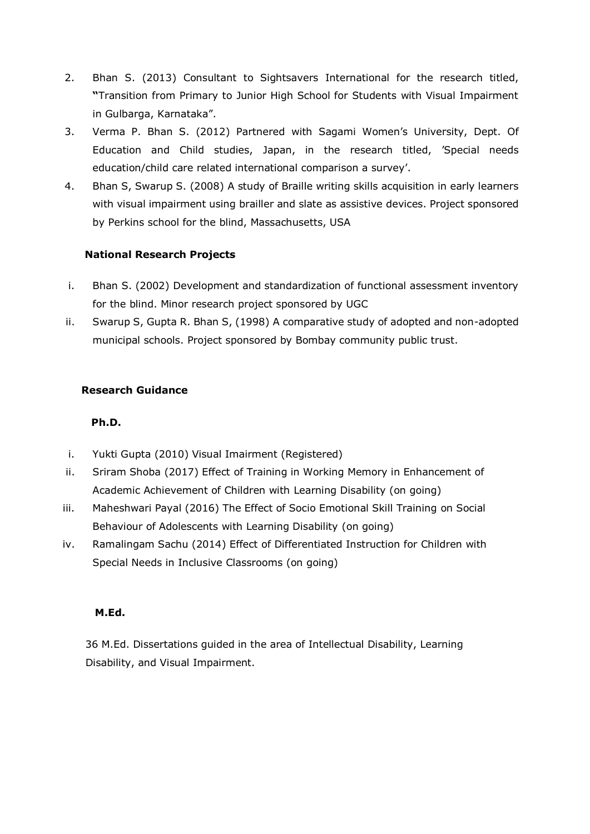- 2. Bhan S. (2013) Consultant to Sightsavers International for the research titled, **"**Transition from Primary to Junior High School for Students with Visual Impairment in Gulbarga, Karnataka".
- 3. Verma P. Bhan S. (2012) Partnered with Sagami Women's University, Dept. Of Education and Child studies, Japan, in the research titled, 'Special needs education/child care related international comparison a survey'.
- 4. Bhan S, Swarup S. (2008) A study of Braille writing skills acquisition in early learners with visual impairment using brailler and slate as assistive devices. Project sponsored by Perkins school for the blind, Massachusetts, USA

### **National Research Projects**

- i. Bhan S. (2002) Development and standardization of functional assessment inventory for the blind. Minor research project sponsored by UGC
- ii. Swarup S, Gupta R. Bhan S, (1998) A comparative study of adopted and non-adopted municipal schools. Project sponsored by Bombay community public trust.

#### **Research Guidance**

### **Ph.D.**

- i. Yukti Gupta (2010) Visual Imairment (Registered)
- ii. Sriram Shoba (2017) Effect of Training in Working Memory in Enhancement of Academic Achievement of Children with Learning Disability (on going)
- iii. Maheshwari Payal (2016) The Effect of Socio Emotional Skill Training on Social Behaviour of Adolescents with Learning Disability (on going)
- iv. Ramalingam Sachu (2014) Effect of Differentiated Instruction for Children with Special Needs in Inclusive Classrooms (on going)

#### **M.Ed.**

 36 M.Ed. Dissertations guided in the area of Intellectual Disability, Learning Disability, and Visual Impairment.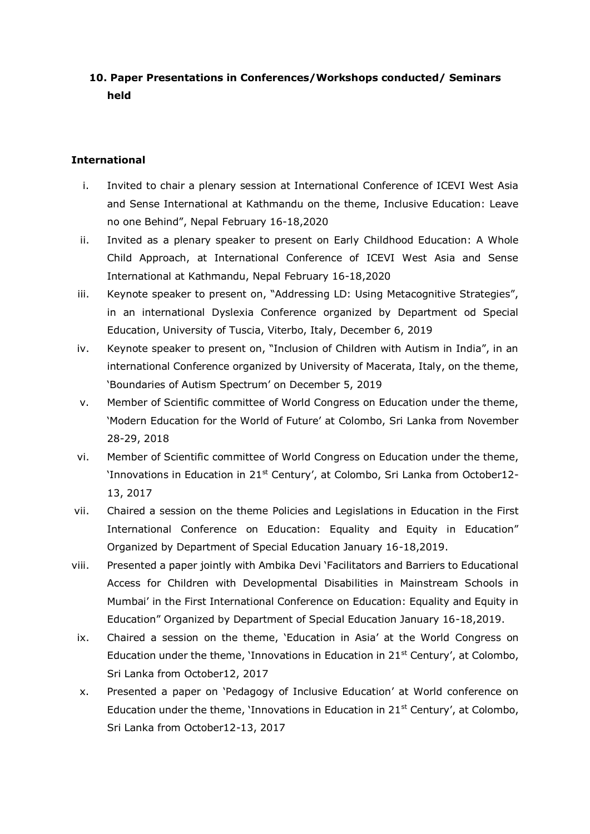# **10. Paper Presentations in Conferences/Workshops conducted/ Seminars held**

#### **International**

- i. Invited to chair a plenary session at International Conference of ICEVI West Asia and Sense International at Kathmandu on the theme, Inclusive Education: Leave no one Behind", Nepal February 16-18,2020
- ii. Invited as a plenary speaker to present on Early Childhood Education: A Whole Child Approach, at International Conference of ICEVI West Asia and Sense International at Kathmandu, Nepal February 16-18,2020
- iii. Keynote speaker to present on, "Addressing LD: Using Metacognitive Strategies", in an international Dyslexia Conference organized by Department od Special Education, University of Tuscia, Viterbo, Italy, December 6, 2019
- iv. Keynote speaker to present on, "Inclusion of Children with Autism in India", in an international Conference organized by University of Macerata, Italy, on the theme, 'Boundaries of Autism Spectrum' on December 5, 2019
- v. Member of Scientific committee of World Congress on Education under the theme, 'Modern Education for the World of Future' at Colombo, Sri Lanka from November 28-29, 2018
- vi. Member of Scientific committee of World Congress on Education under the theme, 'Innovations in Education in 21<sup>st</sup> Century', at Colombo, Sri Lanka from October12-13, 2017
- vii. Chaired a session on the theme Policies and Legislations in Education in the First International Conference on Education: Equality and Equity in Education" Organized by Department of Special Education January 16-18,2019.
- viii. Presented a paper jointly with Ambika Devi 'Facilitators and Barriers to Educational Access for Children with Developmental Disabilities in Mainstream Schools in Mumbai' in the First International Conference on Education: Equality and Equity in Education" Organized by Department of Special Education January 16-18,2019.
	- ix. Chaired a session on the theme, 'Education in Asia' at the World Congress on Education under the theme, 'Innovations in Education in  $21<sup>st</sup>$  Century', at Colombo, Sri Lanka from October12, 2017
	- x. Presented a paper on 'Pedagogy of Inclusive Education' at World conference on Education under the theme, 'Innovations in Education in  $21<sup>st</sup>$  Century', at Colombo, Sri Lanka from October12-13, 2017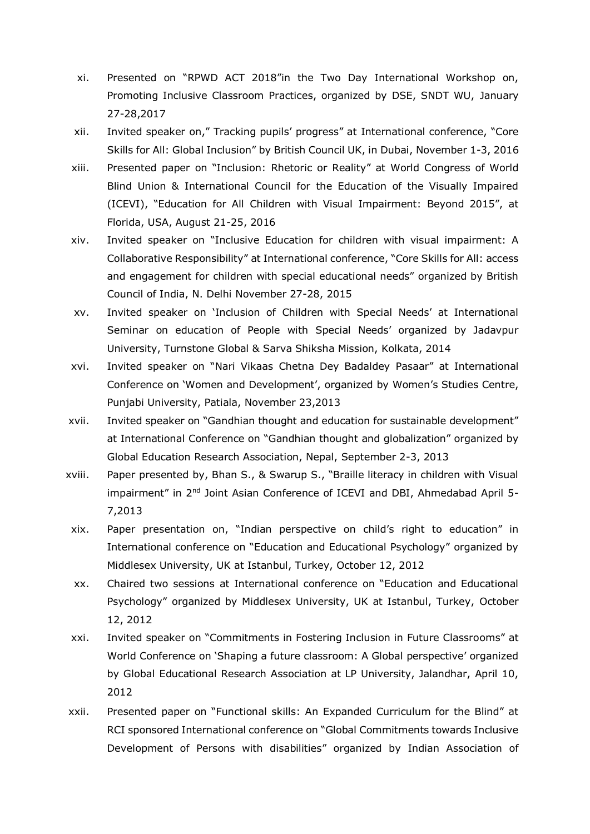- xi. Presented on "RPWD ACT 2018"in the Two Day International Workshop on, Promoting Inclusive Classroom Practices, organized by DSE, SNDT WU, January 27-28,2017
- xii. Invited speaker on," Tracking pupils' progress" at International conference, "Core Skills for All: Global Inclusion" by British Council UK, in Dubai, November 1-3, 2016
- xiii. Presented paper on "Inclusion: Rhetoric or Reality" at World Congress of World Blind Union & International Council for the Education of the Visually Impaired (ICEVI), "Education for All Children with Visual Impairment: Beyond 2015", at Florida, USA, August 21-25, 2016
- xiv. Invited speaker on "Inclusive Education for children with visual impairment: A Collaborative Responsibility" at International conference, "Core Skills for All: access and engagement for children with special educational needs" organized by British Council of India, N. Delhi November 27-28, 2015
- xv. Invited speaker on 'Inclusion of Children with Special Needs' at International Seminar on education of People with Special Needs' organized by Jadavpur University, Turnstone Global & Sarva Shiksha Mission, Kolkata, 2014
- xvi. Invited speaker on "Nari Vikaas Chetna Dey Badaldey Pasaar" at International Conference on 'Women and Development', organized by Women's Studies Centre, Punjabi University, Patiala, November 23,2013
- xvii. Invited speaker on "Gandhian thought and education for sustainable development" at International Conference on "Gandhian thought and globalization" organized by Global Education Research Association, Nepal, September 2-3, 2013
- xviii. Paper presented by, Bhan S., & Swarup S., "Braille literacy in children with Visual impairment" in 2<sup>nd</sup> Joint Asian Conference of ICEVI and DBI, Ahmedabad April 5-7,2013
- xix. Paper presentation on, "Indian perspective on child's right to education" in International conference on "Education and Educational Psychology" organized by Middlesex University, UK at Istanbul, Turkey, October 12, 2012
- xx. Chaired two sessions at International conference on "Education and Educational Psychology" organized by Middlesex University, UK at Istanbul, Turkey, October 12, 2012
- xxi. Invited speaker on "Commitments in Fostering Inclusion in Future Classrooms" at World Conference on 'Shaping a future classroom: A Global perspective' organized by Global Educational Research Association at LP University, Jalandhar, April 10, 2012
- xxii. Presented paper on "Functional skills: An Expanded Curriculum for the Blind" at RCI sponsored International conference on "Global Commitments towards Inclusive Development of Persons with disabilities" organized by Indian Association of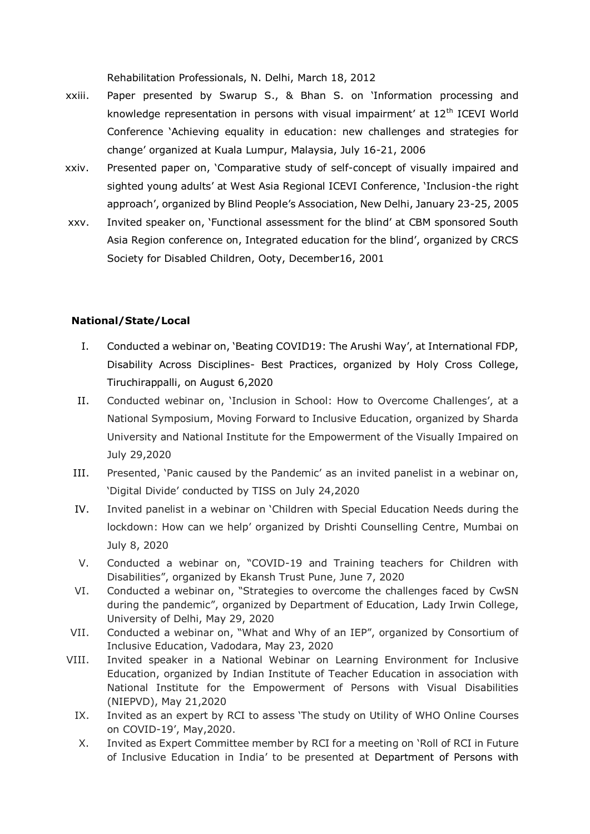Rehabilitation Professionals, N. Delhi, March 18, 2012

- xxiii. Paper presented by Swarup S., & Bhan S. on 'Information processing and knowledge representation in persons with visual impairment' at 12<sup>th</sup> ICEVI World Conference 'Achieving equality in education: new challenges and strategies for change' organized at Kuala Lumpur, Malaysia, July 16-21, 2006
- xxiv. Presented paper on, 'Comparative study of self-concept of visually impaired and sighted young adults' at West Asia Regional ICEVI Conference, 'Inclusion-the right approach', organized by Blind People's Association, New Delhi, January 23-25, 2005
- xxv. Invited speaker on, 'Functional assessment for the blind' at CBM sponsored South Asia Region conference on, Integrated education for the blind', organized by CRCS Society for Disabled Children, Ooty, December16, 2001

#### **National/State/Local**

- I. Conducted a webinar on, 'Beating COVID19: The Arushi Way', at International FDP, Disability Across Disciplines- Best Practices, organized by Holy Cross College, Tiruchirappalli, on August 6,2020
- II. Conducted webinar on, 'Inclusion in School: How to Overcome Challenges', at a National Symposium, Moving Forward to Inclusive Education, organized by Sharda University and National Institute for the Empowerment of the Visually Impaired on July 29,2020
- III. Presented, 'Panic caused by the Pandemic' as an invited panelist in a webinar on, 'Digital Divide' conducted by TISS on July 24,2020
- IV. Invited panelist in a webinar on 'Children with Special Education Needs during the lockdown: How can we help' organized by Drishti Counselling Centre, Mumbai on July 8, 2020
- V. Conducted a webinar on, "COVID-19 and Training teachers for Children with Disabilities", organized by Ekansh Trust Pune, June 7, 2020
- VI. Conducted a webinar on, "Strategies to overcome the challenges faced by CwSN during the pandemic", organized by Department of Education, Lady Irwin College, University of Delhi, May 29, 2020
- VII. Conducted a webinar on, "What and Why of an IEP", organized by Consortium of Inclusive Education, Vadodara, May 23, 2020
- VIII. Invited speaker in a National Webinar on Learning Environment for Inclusive Education, organized by Indian Institute of Teacher Education in association with National Institute for the Empowerment of Persons with Visual Disabilities (NIEPVD), May 21,2020
	- IX. Invited as an expert by RCI to assess 'The study on Utility of WHO Online Courses on COVID-19', May,2020.
	- X. Invited as Expert Committee member by RCI for a meeting on 'Roll of RCI in Future of Inclusive Education in India' to be presented at Department of Persons with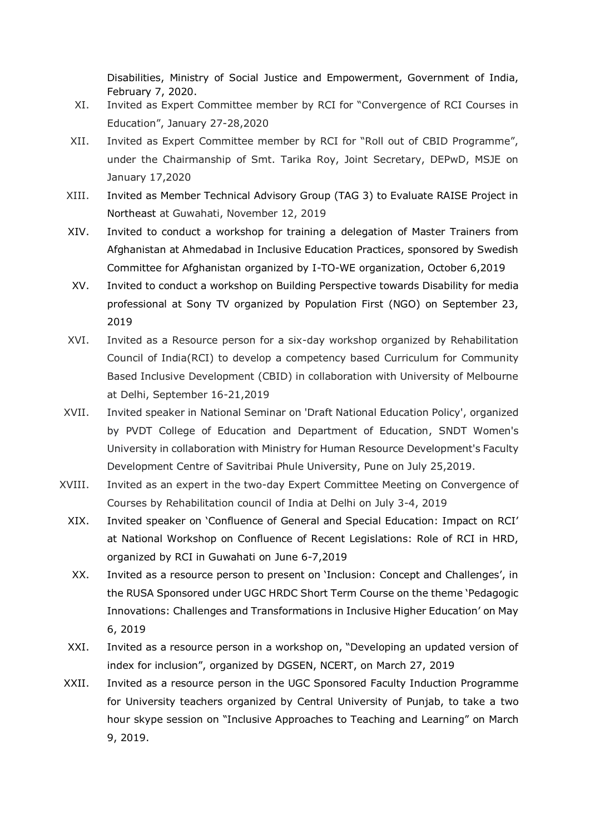Disabilities, Ministry of Social Justice and Empowerment, Government of India, February 7, 2020.

- XI. Invited as Expert Committee member by RCI for "Convergence of RCI Courses in Education", January 27-28,2020
- XII. Invited as Expert Committee member by RCI for "Roll out of CBID Programme", under the Chairmanship of Smt. Tarika Roy, Joint Secretary, DEPwD, MSJE on January 17,2020
- XIII. Invited as Member Technical Advisory Group (TAG 3) to Evaluate RAISE Project in Northeast at Guwahati, November 12, 2019
- XIV. Invited to conduct a workshop for training a delegation of Master Trainers from Afghanistan at Ahmedabad in Inclusive Education Practices, sponsored by Swedish Committee for Afghanistan organized by I-TO-WE organization, October 6,2019
- XV. Invited to conduct a workshop on Building Perspective towards Disability for media professional at Sony TV organized by Population First (NGO) on September 23, 2019
- XVI. Invited as a Resource person for a six-day workshop organized by Rehabilitation Council of India(RCI) to develop a competency based Curriculum for Community Based Inclusive Development (CBID) in collaboration with University of Melbourne at Delhi, September 16-21,2019
- XVII. Invited speaker in National Seminar on 'Draft National Education Policy', organized by PVDT College of Education and Department of Education, SNDT Women's University in collaboration with Ministry for Human Resource Development's Faculty Development Centre of Savitribai Phule University, Pune on July 25,2019.
- XVIII. Invited as an expert in the two-day Expert Committee Meeting on Convergence of Courses by Rehabilitation council of India at Delhi on July 3-4, 2019
	- XIX. Invited speaker on 'Confluence of General and Special Education: Impact on RCI' at National Workshop on Confluence of Recent Legislations: Role of RCI in HRD, organized by RCI in Guwahati on June 6-7,2019
	- XX. Invited as a resource person to present on 'Inclusion: Concept and Challenges', in the RUSA Sponsored under UGC HRDC Short Term Course on the theme 'Pedagogic Innovations: Challenges and Transformations in Inclusive Higher Education' on May 6, 2019
	- XXI. Invited as a resource person in a workshop on, "Developing an updated version of index for inclusion", organized by DGSEN, NCERT, on March 27, 2019
- XXII. Invited as a resource person in the UGC Sponsored Faculty Induction Programme for University teachers organized by Central University of Punjab, to take a two hour skype session on "Inclusive Approaches to Teaching and Learning" on March 9, 2019.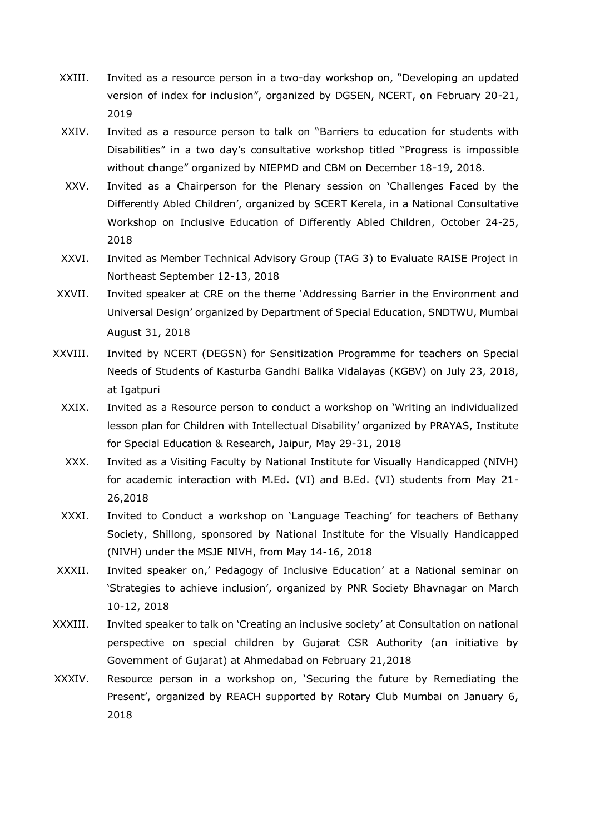- XXIII. Invited as a resource person in a two-day workshop on, "Developing an updated version of index for inclusion", organized by DGSEN, NCERT, on February 20-21, 2019
- XXIV. Invited as a resource person to talk on "Barriers to education for students with Disabilities" in a two day's consultative workshop titled "Progress is impossible without change" organized by NIEPMD and CBM on December 18-19, 2018.
- XXV. Invited as a Chairperson for the Plenary session on 'Challenges Faced by the Differently Abled Children', organized by SCERT Kerela, in a National Consultative Workshop on Inclusive Education of Differently Abled Children, October 24-25, 2018
- XXVI. Invited as Member Technical Advisory Group (TAG 3) to Evaluate RAISE Project in Northeast September 12-13, 2018
- XXVII. Invited speaker at CRE on the theme 'Addressing Barrier in the Environment and Universal Design' organized by Department of Special Education, SNDTWU, Mumbai August 31, 2018
- XXVIII. Invited by NCERT (DEGSN) for Sensitization Programme for teachers on Special Needs of Students of Kasturba Gandhi Balika Vidalayas (KGBV) on July 23, 2018, at Igatpuri
	- XXIX. Invited as a Resource person to conduct a workshop on 'Writing an individualized lesson plan for Children with Intellectual Disability' organized by PRAYAS, Institute for Special Education & Research, Jaipur, May 29-31, 2018
	- XXX. Invited as a Visiting Faculty by National Institute for Visually Handicapped (NIVH) for academic interaction with M.Ed. (VI) and B.Ed. (VI) students from May 21- 26,2018
	- XXXI. Invited to Conduct a workshop on 'Language Teaching' for teachers of Bethany Society, Shillong, sponsored by National Institute for the Visually Handicapped (NIVH) under the MSJE NIVH, from May 14-16, 2018
- XXXII. Invited speaker on,' Pedagogy of Inclusive Education' at a National seminar on 'Strategies to achieve inclusion', organized by PNR Society Bhavnagar on March 10-12, 2018
- XXXIII. Invited speaker to talk on 'Creating an inclusive society' at Consultation on national perspective on special children by Gujarat CSR Authority (an initiative by Government of Gujarat) at Ahmedabad on February 21,2018
- XXXIV. Resource person in a workshop on, 'Securing the future by Remediating the Present', organized by REACH supported by Rotary Club Mumbai on January 6, 2018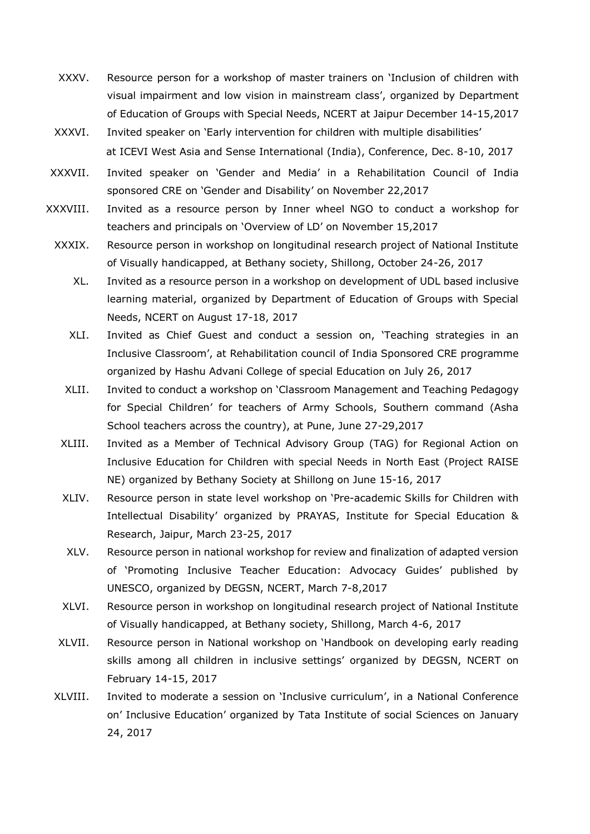- XXXV. Resource person for a workshop of master trainers on 'Inclusion of children with visual impairment and low vision in mainstream class', organized by Department of Education of Groups with Special Needs, NCERT at Jaipur December 14-15,2017
- XXXVI. Invited speaker on 'Early intervention for children with multiple disabilities' at ICEVI West Asia and Sense International (India), Conference, Dec. 8-10, 2017
- XXXVII. Invited speaker on 'Gender and Media' in a Rehabilitation Council of India sponsored CRE on 'Gender and Disability' on November 22,2017
- XXXVIII. Invited as a resource person by Inner wheel NGO to conduct a workshop for teachers and principals on 'Overview of LD' on November 15,2017
	- XXXIX. Resource person in workshop on longitudinal research project of National Institute of Visually handicapped, at Bethany society, Shillong, October 24-26, 2017
		- XL. Invited as a resource person in a workshop on development of UDL based inclusive learning material, organized by Department of Education of Groups with Special Needs, NCERT on August 17-18, 2017
		- XLI. Invited as Chief Guest and conduct a session on, 'Teaching strategies in an Inclusive Classroom', at Rehabilitation council of India Sponsored CRE programme organized by Hashu Advani College of special Education on July 26, 2017
		- XLII. Invited to conduct a workshop on 'Classroom Management and Teaching Pedagogy for Special Children' for teachers of Army Schools, Southern command (Asha School teachers across the country), at Pune, June 27-29,2017
		- XLIII. Invited as a Member of Technical Advisory Group (TAG) for Regional Action on Inclusive Education for Children with special Needs in North East (Project RAISE NE) organized by Bethany Society at Shillong on June 15-16, 2017
		- XLIV. Resource person in state level workshop on 'Pre-academic Skills for Children with Intellectual Disability' organized by PRAYAS, Institute for Special Education & Research, Jaipur, March 23-25, 2017
		- XLV. Resource person in national workshop for review and finalization of adapted version of 'Promoting Inclusive Teacher Education: Advocacy Guides' published by UNESCO, organized by DEGSN, NCERT, March 7-8,2017
		- XLVI. Resource person in workshop on longitudinal research project of National Institute of Visually handicapped, at Bethany society, Shillong, March 4-6, 2017
	- XLVII. Resource person in National workshop on 'Handbook on developing early reading skills among all children in inclusive settings' organized by DEGSN, NCERT on February 14-15, 2017
	- XLVIII. Invited to moderate a session on 'Inclusive curriculum', in a National Conference on' Inclusive Education' organized by Tata Institute of social Sciences on January 24, 2017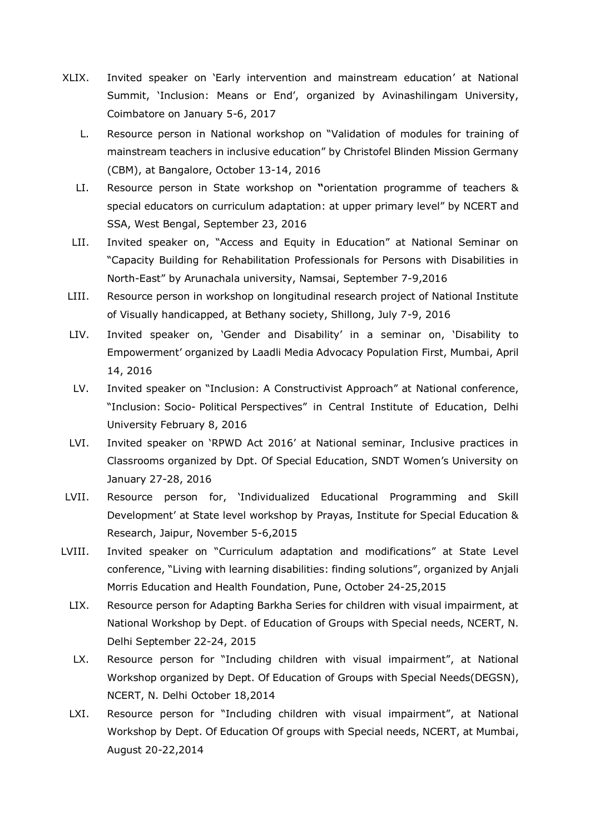- XLIX. Invited speaker on 'Early intervention and mainstream education' at National Summit, 'Inclusion: Means or End', organized by Avinashilingam University, Coimbatore on January 5-6, 2017
	- L. Resource person in National workshop on "Validation of modules for training of mainstream teachers in inclusive education" by Christofel Blinden Mission Germany (CBM), at Bangalore, October 13-14, 2016
	- LI. Resource person in State workshop on **"**orientation programme of teachers & special educators on curriculum adaptation: at upper primary level" by NCERT and SSA, West Bengal, September 23, 2016
	- LII. Invited speaker on, "Access and Equity in Education" at National Seminar on "Capacity Building for Rehabilitation Professionals for Persons with Disabilities in North-East" by Arunachala university, Namsai, September 7-9,2016
- LIII. Resource person in workshop on longitudinal research project of National Institute of Visually handicapped, at Bethany society, Shillong, July 7-9, 2016
- LIV. Invited speaker on, 'Gender and Disability' in a seminar on, 'Disability to Empowerment' organized by Laadli Media Advocacy Population First, Mumbai, April 14, 2016
- LV. Invited speaker on "Inclusion: A Constructivist Approach" at National conference, "Inclusion: Socio- Political Perspectives" in Central Institute of Education, Delhi University February 8, 2016
- LVI. Invited speaker on 'RPWD Act 2016' at National seminar, Inclusive practices in Classrooms organized by Dpt. Of Special Education, SNDT Women's University on January 27-28, 2016
- LVII. Resource person for, 'Individualized Educational Programming and Skill Development' at State level workshop by Prayas, Institute for Special Education & Research, Jaipur, November 5-6,2015
- LVIII. Invited speaker on "Curriculum adaptation and modifications" at State Level conference, "Living with learning disabilities: finding solutions", organized by Anjali Morris Education and Health Foundation, Pune, October 24-25,2015
	- LIX. Resource person for Adapting Barkha Series for children with visual impairment, at National Workshop by Dept. of Education of Groups with Special needs, NCERT, N. Delhi September 22-24, 2015
	- LX. Resource person for "Including children with visual impairment", at National Workshop organized by Dept. Of Education of Groups with Special Needs(DEGSN), NCERT, N. Delhi October 18,2014
	- LXI. Resource person for "Including children with visual impairment", at National Workshop by Dept. Of Education Of groups with Special needs, NCERT, at Mumbai, August 20-22,2014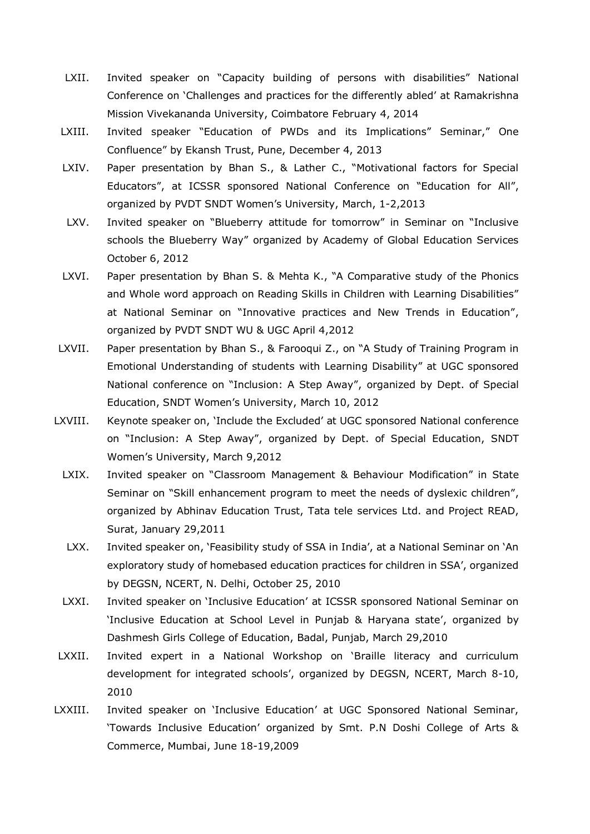- LXII. Invited speaker on "Capacity building of persons with disabilities" National Conference on 'Challenges and practices for the differently abled' at Ramakrishna Mission Vivekananda University, Coimbatore February 4, 2014
- LXIII. Invited speaker "Education of PWDs and its Implications" Seminar," One Confluence" by Ekansh Trust, Pune, December 4, 2013
- LXIV. Paper presentation by Bhan S., & Lather C., "Motivational factors for Special Educators", at ICSSR sponsored National Conference on "Education for All", organized by PVDT SNDT Women's University, March, 1-2,2013
- LXV. Invited speaker on "Blueberry attitude for tomorrow" in Seminar on "Inclusive schools the Blueberry Way" organized by Academy of Global Education Services October 6, 2012
- LXVI. Paper presentation by Bhan S. & Mehta K., "A Comparative study of the Phonics and Whole word approach on Reading Skills in Children with Learning Disabilities" at National Seminar on "Innovative practices and New Trends in Education", organized by PVDT SNDT WU & UGC April 4,2012
- LXVII. Paper presentation by Bhan S., & Farooqui Z., on "A Study of Training Program in Emotional Understanding of students with Learning Disability" at UGC sponsored National conference on "Inclusion: A Step Away", organized by Dept. of Special Education, SNDT Women's University, March 10, 2012
- LXVIII. Keynote speaker on, 'Include the Excluded' at UGC sponsored National conference on "Inclusion: A Step Away", organized by Dept. of Special Education, SNDT Women's University, March 9,2012
	- LXIX. Invited speaker on "Classroom Management & Behaviour Modification" in State Seminar on "Skill enhancement program to meet the needs of dyslexic children", organized by Abhinav Education Trust, Tata tele services Ltd. and Project READ, Surat, January 29,2011
	- LXX. Invited speaker on, 'Feasibility study of SSA in India', at a National Seminar on 'An exploratory study of homebased education practices for children in SSA', organized by DEGSN, NCERT, N. Delhi, October 25, 2010
	- LXXI. Invited speaker on 'Inclusive Education' at ICSSR sponsored National Seminar on 'Inclusive Education at School Level in Punjab & Haryana state', organized by Dashmesh Girls College of Education, Badal, Punjab, March 29,2010
- LXXII. Invited expert in a National Workshop on 'Braille literacy and curriculum development for integrated schools', organized by DEGSN, NCERT, March 8-10, 2010
- LXXIII. Invited speaker on 'Inclusive Education' at UGC Sponsored National Seminar, 'Towards Inclusive Education' organized by Smt. P.N Doshi College of Arts & Commerce, Mumbai, June 18-19,2009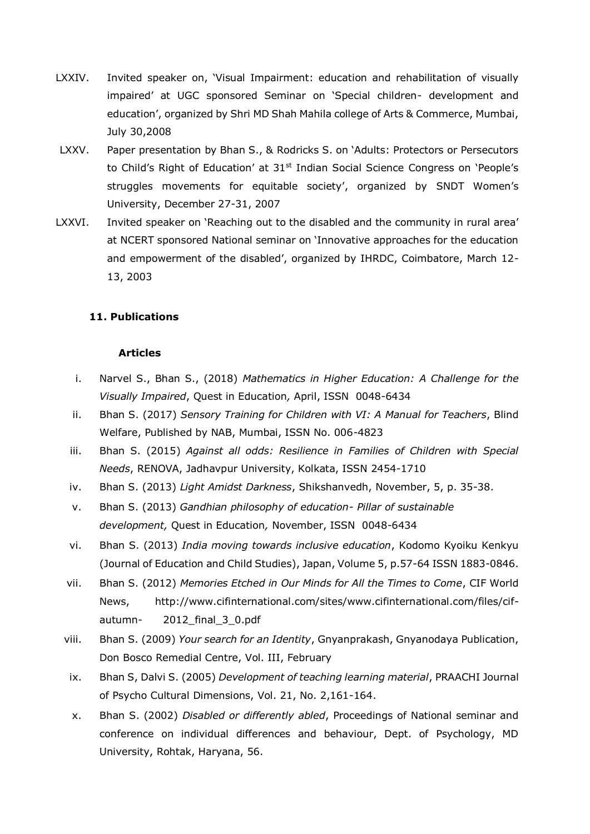- LXXIV. Invited speaker on, 'Visual Impairment: education and rehabilitation of visually impaired' at UGC sponsored Seminar on 'Special children- development and education', organized by Shri MD Shah Mahila college of Arts & Commerce, Mumbai, July 30,2008
- LXXV. Paper presentation by Bhan S., & Rodricks S. on 'Adults: Protectors or Persecutors to Child's Right of Education' at 31<sup>st</sup> Indian Social Science Congress on 'People's struggles movements for equitable society', organized by SNDT Women's University, December 27-31, 2007
- LXXVI. Invited speaker on 'Reaching out to the disabled and the community in rural area' at NCERT sponsored National seminar on 'Innovative approaches for the education and empowerment of the disabled', organized by IHRDC, Coimbatore, March 12- 13, 2003

#### **11. Publications**

#### **Articles**

- i. Narvel S., Bhan S., (2018) *Mathematics in Higher Education: A Challenge for the Visually Impaired*, Quest in Education*,* April, ISSN 0048-6434
- ii. Bhan S. (2017) *Sensory Training for Children with VI: A Manual for Teachers*, Blind Welfare, Published by NAB, Mumbai, ISSN No. 006-4823
- iii. Bhan S. (2015) *Against all odds: Resilience in Families of Children with Special Needs*, RENOVA, Jadhavpur University, Kolkata, ISSN 2454-1710
- iv. Bhan S. (2013) *Light Amidst Darkness*, Shikshanvedh, November, 5, p. 35-38.
- v. Bhan S. (2013) *Gandhian philosophy of education- Pillar of sustainable development,* Quest in Education*,* November, ISSN 0048-6434
- vi. Bhan S. (2013) *India moving towards inclusive education*, Kodomo Kyoiku Kenkyu (Journal of Education and Child Studies), Japan, Volume 5, p.57-64 ISSN 1883-0846.
- vii. Bhan S. (2012) *Memories Etched in Our Minds for All the Times to Come*, CIF World News, [http://www.cifinternational.com/sites/www.cifinternational.com/files/cif](http://www.cifinternational.com/sites/www.cifinternational.com/files/cif-autumn-%20%20%20%20%20%202012_final_3_0.pdf)autumn-<br>
2012 final 3 0.pdf
- viii. Bhan S. (2009) *Your search for an Identity*, Gnyanprakash, Gnyanodaya Publication, Don Bosco Remedial Centre, Vol. III, February
- ix. Bhan S, Dalvi S. (2005) *Development of teaching learning material*, PRAACHI Journal of Psycho Cultural Dimensions, Vol. 21, No. 2,161-164.
- x. Bhan S. (2002) *Disabled or differently abled*, Proceedings of National seminar and conference on individual differences and behaviour, Dept. of Psychology, MD University, Rohtak, Haryana, 56.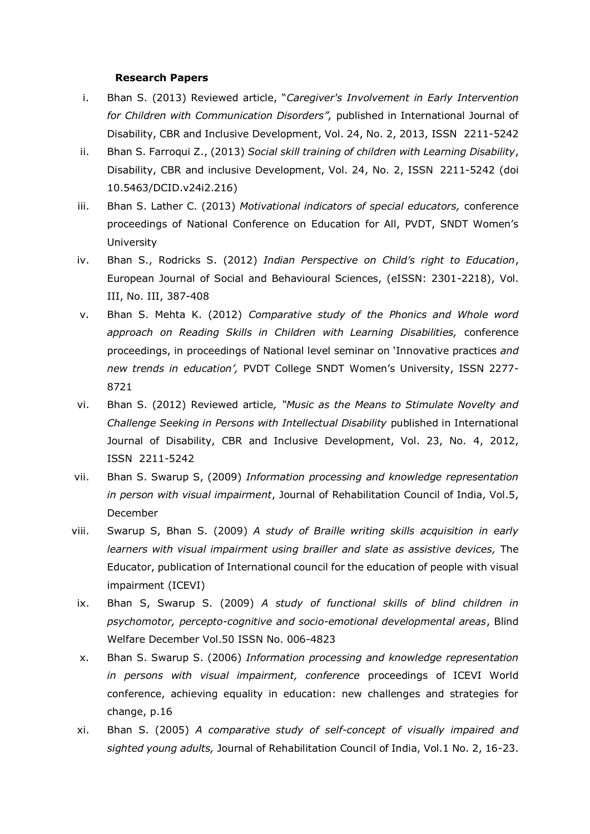#### **Research Papers**

- i. Bhan S. (2013) Reviewed article, "*Caregiver's Involvement in Early Intervention for Children with Communication Disorders",* published in International Journal of Disability, CBR and Inclusive Development, Vol. 24, No. 2, 2013, ISSN 2211-5242
- ii. Bhan S. Farroqui Z., (2013) *Social skill training of children with Learning Disability*, Disability, CBR and inclusive Development, Vol. 24, No. 2, ISSN 2211-5242 (doi 10.5463/DCID.v24i2.216)
- iii. Bhan S. Lather C. (2013) *Motivational indicators of special educators,* conference proceedings of National Conference on Education for All, PVDT, SNDT Women's University
- iv. Bhan S., Rodricks S. (2012) *Indian Perspective on Child's right to Education*, European Journal of Social and Behavioural Sciences, (eISSN: 2301-2218), Vol. III, No. III, 387-408
- v. Bhan S. Mehta K. (2012) *Comparative study of the Phonics and Whole word approach on Reading Skills in Children with Learning Disabilities,* conference proceedings, in proceedings of National level seminar on 'Innovative practices *and new trends in education',* PVDT College SNDT Women's University, ISSN 2277- 8721
- vi. Bhan S. (2012) Reviewed article*, "Music as the Means to Stimulate Novelty and Challenge Seeking in Persons with Intellectual Disability* published in International Journal of Disability, CBR and Inclusive Development, Vol. 23, No. 4, 2012, ISSN 2211-5242
- vii. Bhan S. Swarup S, (2009) *Information processing and knowledge representation in person with visual impairment*, Journal of Rehabilitation Council of India, Vol.5, December
- viii. Swarup S, Bhan S. (2009) *A study of Braille writing skills acquisition in early learners with visual impairment using brailler and slate as assistive devices,* The Educator, publication of International council for the education of people with visual impairment (ICEVI)
	- ix. Bhan S, Swarup S. (2009) *A study of functional skills of blind children in psychomotor, percepto-cognitive and socio-emotional developmental areas*, Blind Welfare December Vol.50 ISSN No. 006-4823
	- x. Bhan S. Swarup S. (2006) *Information processing and knowledge representation in persons with visual impairment, conference* proceedings of ICEVI World conference, achieving equality in education: new challenges and strategies for change, p.16
	- xi. Bhan S. (2005) *A comparative study of self-concept of visually impaired and sighted young adults,* Journal of Rehabilitation Council of India, Vol.1 No. 2, 16-23.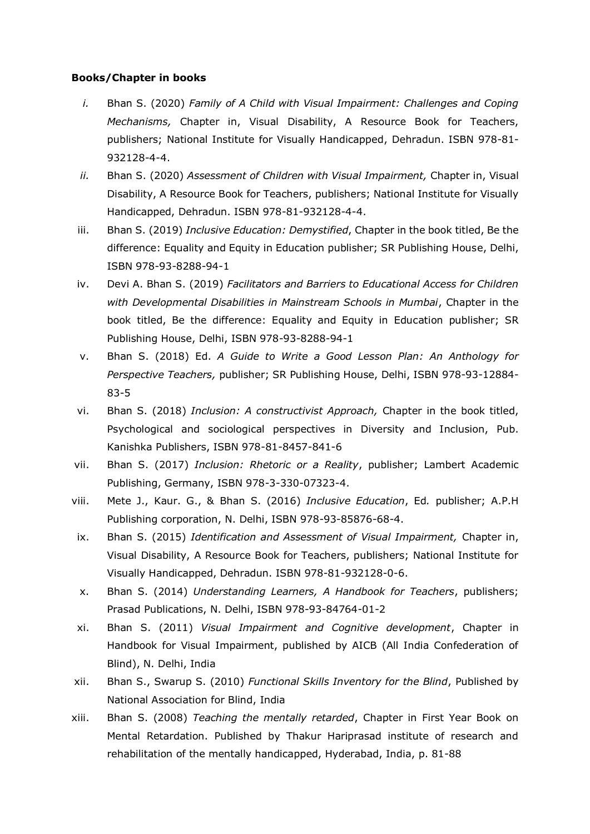#### **Books/Chapter in books**

- *i.* Bhan S. (2020) *Family of A Child with Visual Impairment: Challenges and Coping Mechanisms,* Chapter in, Visual Disability, A Resource Book for Teachers, publishers; National Institute for Visually Handicapped, Dehradun. ISBN 978-81- 932128-4-4.
- *ii.* Bhan S. (2020) *Assessment of Children with Visual Impairment,* Chapter in, Visual Disability, A Resource Book for Teachers, publishers; National Institute for Visually Handicapped, Dehradun. ISBN 978-81-932128-4-4.
- iii. Bhan S. (2019) *Inclusive Education: Demystified*, Chapter in the book titled, Be the difference: Equality and Equity in Education publisher; SR Publishing House, Delhi, ISBN 978-93-8288-94-1
- iv. Devi A. Bhan S. (2019) *Facilitators and Barriers to Educational Access for Children with Developmental Disabilities in Mainstream Schools in Mumbai*, Chapter in the book titled, Be the difference: Equality and Equity in Education publisher; SR Publishing House, Delhi, ISBN 978-93-8288-94-1
- v. Bhan S. (2018) Ed. *A Guide to Write a Good Lesson Plan: An Anthology for Perspective Teachers,* publisher; SR Publishing House, Delhi, ISBN 978-93-12884- 83-5
- vi. Bhan S. (2018) *Inclusion: A constructivist Approach,* Chapter in the book titled, Psychological and sociological perspectives in Diversity and Inclusion, Pub. Kanishka Publishers, ISBN 978-81-8457-841-6
- vii. Bhan S. (2017) *Inclusion: Rhetoric or a Reality*, publisher; Lambert Academic Publishing, Germany, ISBN 978-3-330-07323-4.
- viii. Mete J., Kaur. G., & Bhan S. (2016) *Inclusive Education*, Ed*.* publisher; A.P.H Publishing corporation, N. Delhi, ISBN 978-93-85876-68-4.
- ix. Bhan S. (2015) *Identification and Assessment of Visual Impairment,* Chapter in, Visual Disability, A Resource Book for Teachers, publishers; National Institute for Visually Handicapped, Dehradun. ISBN 978-81-932128-0-6.
- x. Bhan S. (2014) *Understanding Learners, A Handbook for Teachers*, publishers; Prasad Publications, N. Delhi, ISBN 978-93-84764-01-2
- xi. Bhan S. (2011) *Visual Impairment and Cognitive development*, Chapter in Handbook for Visual Impairment, published by AICB (All India Confederation of Blind), N. Delhi, India
- xii. Bhan S., Swarup S. (2010) *Functional Skills Inventory for the Blind*, Published by National Association for Blind, India
- xiii. Bhan S. (2008) *Teaching the mentally retarded*, Chapter in First Year Book on Mental Retardation. Published by Thakur Hariprasad institute of research and rehabilitation of the mentally handicapped, Hyderabad, India, p. 81-88